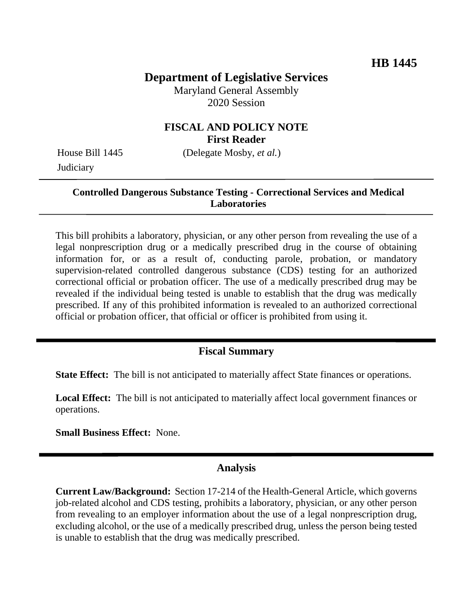# **Department of Legislative Services**

Maryland General Assembly 2020 Session

## **FISCAL AND POLICY NOTE First Reader**

**Judiciary** 

House Bill 1445 (Delegate Mosby, *et al.*)

## **Controlled Dangerous Substance Testing - Correctional Services and Medical Laboratories**

This bill prohibits a laboratory, physician, or any other person from revealing the use of a legal nonprescription drug or a medically prescribed drug in the course of obtaining information for, or as a result of, conducting parole, probation, or mandatory supervision-related controlled dangerous substance (CDS) testing for an authorized correctional official or probation officer. The use of a medically prescribed drug may be revealed if the individual being tested is unable to establish that the drug was medically prescribed. If any of this prohibited information is revealed to an authorized correctional official or probation officer, that official or officer is prohibited from using it.

# **Fiscal Summary**

**State Effect:** The bill is not anticipated to materially affect State finances or operations.

**Local Effect:** The bill is not anticipated to materially affect local government finances or operations.

**Small Business Effect:** None.

#### **Analysis**

**Current Law/Background:** Section 17-214 of the Health-General Article, which governs job-related alcohol and CDS testing, prohibits a laboratory, physician, or any other person from revealing to an employer information about the use of a legal nonprescription drug, excluding alcohol, or the use of a medically prescribed drug, unless the person being tested is unable to establish that the drug was medically prescribed.